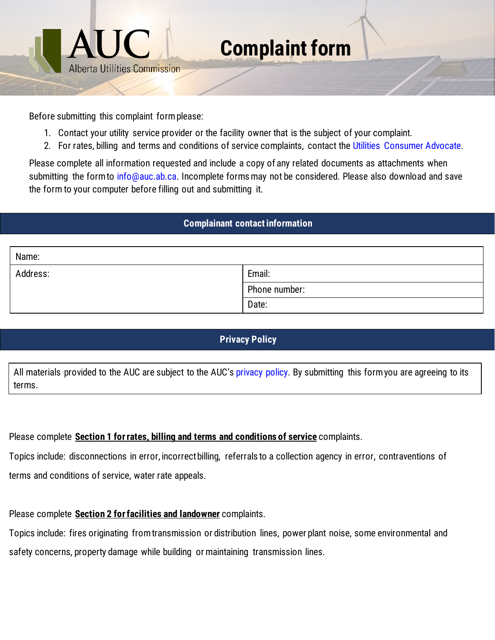

Before submitting this complaint form please:

- 1. Contact your utility service provider or the facility owner that is the subject of your complaint.
- 2. For rates, billing and terms and conditions of service complaints, contact the [Utilities Consumer Advocate.](https://ucahelps.alberta.ca/help.aspx)

Please complete all information requested and include a copy of any related documents as attachments when submitting the form to [info@auc.ab.ca.](mailto:info@auc.ab.ca) Incomplete forms may not be considered. Please also download and save the form to your computer before filling out and submitting it.

## **Complainant contact information**

| Name:    |               |
|----------|---------------|
| Address: | Email:        |
|          | Phone number: |
|          | Date:         |

## **Privacy Policy**

All materials provided to the AUC are subject to the AUC's [privacy policy.](https://www.auc.ab.ca/privacy-policy/#hq=privacy) By submitting this form you are agreeing to its terms.

Please complete **Section 1 forrates, billing and terms and conditions of service** complaints.

Topics include: disconnections in error, incorrect billing, referrals to a collection agency in error, contraventions of terms and conditions of service, water rate appeals.

Please complete **Section 2 for facilities and landowner** complaints.

Topics include: fires originating from transmission or distribution lines, power plant noise, some environmental and safety concerns, property damage while building or maintaining transmission lines.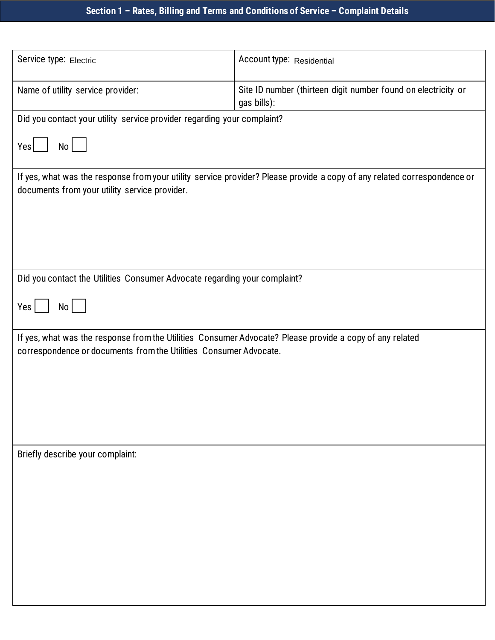| Service type: Electric                                                                                                                                                        | Account type: Residential                                                    |  |
|-------------------------------------------------------------------------------------------------------------------------------------------------------------------------------|------------------------------------------------------------------------------|--|
| Name of utility service provider:                                                                                                                                             | Site ID number (thirteen digit number found on electricity or<br>gas bills): |  |
| Did you contact your utility service provider regarding your complaint?                                                                                                       |                                                                              |  |
| Yes<br>No                                                                                                                                                                     |                                                                              |  |
| If yes, what was the response from your utility service provider? Please provide a copy of any related correspondence or<br>documents from your utility service provider.     |                                                                              |  |
|                                                                                                                                                                               |                                                                              |  |
|                                                                                                                                                                               |                                                                              |  |
| Did you contact the Utilities Consumer Advocate regarding your complaint?                                                                                                     |                                                                              |  |
| Yes<br>No                                                                                                                                                                     |                                                                              |  |
| If yes, what was the response from the Utilities Consumer Advocate? Please provide a copy of any related<br>correspondence or documents from the Utilities Consumer Advocate. |                                                                              |  |
|                                                                                                                                                                               |                                                                              |  |
|                                                                                                                                                                               |                                                                              |  |
|                                                                                                                                                                               |                                                                              |  |
| Briefly describe your complaint:                                                                                                                                              |                                                                              |  |
|                                                                                                                                                                               |                                                                              |  |
|                                                                                                                                                                               |                                                                              |  |
|                                                                                                                                                                               |                                                                              |  |
|                                                                                                                                                                               |                                                                              |  |
|                                                                                                                                                                               |                                                                              |  |
|                                                                                                                                                                               |                                                                              |  |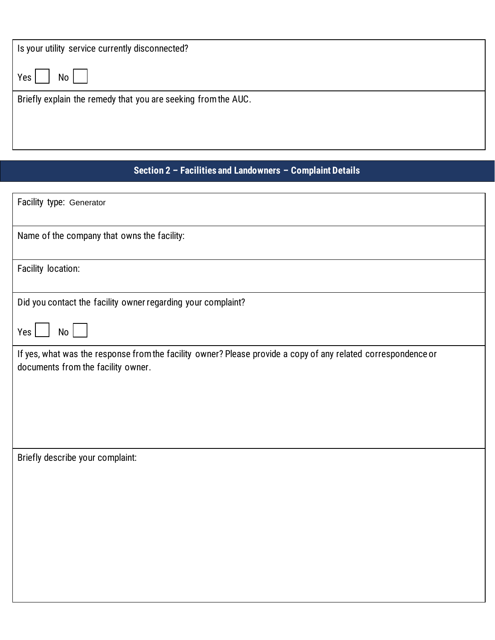| Is your utility service currently disconnected?               |  |
|---------------------------------------------------------------|--|
| Yes<br>No I                                                   |  |
| Briefly explain the remedy that you are seeking from the AUC. |  |

## **Section 2 – Facilities and Landowners – Complaint Details**

| Facility type: Generator                                                                                                                            |
|-----------------------------------------------------------------------------------------------------------------------------------------------------|
| Name of the company that owns the facility:                                                                                                         |
| Facility location:                                                                                                                                  |
| Did you contact the facility owner regarding your complaint?                                                                                        |
| No <sub>1</sub><br>Yes                                                                                                                              |
| If yes, what was the response from the facility owner? Please provide a copy of any related correspondence or<br>documents from the facility owner. |
| Briefly describe your complaint:                                                                                                                    |